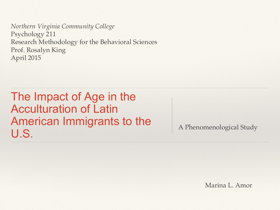*Northern Virginia Community College* Psychology 211 Research Methodology for the Behavioral Sciences Prof. Rosalyn King April 2015

The Impact of Age in the Acculturation of Latin American Immigrants to the U.S.

Marina L. Amor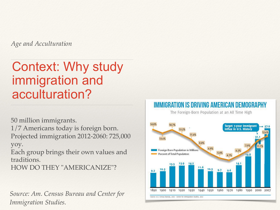*Age and Acculturation* 

#### Context: Why study immigration and acculturation?

50 million immigrants.

1/7 Americans today is foreign born. Projected immigration 2012-2060: 725,000 yoy.

Each group brings their own values and traditions.

HOW DO THEY "AMERICANIZE"?

*Source: Am. Census Bureau and Center for Immigration Studies.* 

#### IMMIGRATION IS DRIVING AMERICAN DEMOGRAPHY The Foreign-Born Population at an All Time High 14.87 14.7% Target 7-year Immigrant flux in U.S. History 13.2% 11.6% 13.6%  $8.8%$  $11.1%$  $6.9%$ Foreign Born Population in Millions  $6.2%$  $5.4%$ Percent of Total Population  $4.7%$ 19.8 14.1 13.9 14.2  $13.5$ 10.3  $10.3$  $9.7$  $9.2$ 1890 1900 1910 1920 1930 1940 1950 1960 1970 1980 1990 2000 2007 Source: U.S. Census Bureau, 2000 - Center for Immigration Studies, 2007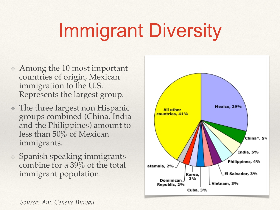# Immigrant Diversity

- ❖ Among the 10 most important countries of origin, Mexican immigration to the U.S. Represents the largest group.
- ❖ The three largest non Hispanic groups combined (China, India and the Philippines) amount to less than 50% of Mexican immigrants.
- ❖ Spanish speaking immigrants combine for a 39% of the total immigrant population.



*Source: Am. Census Bureau.*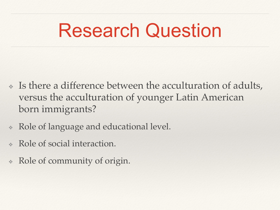## Research Question

- ❖ Is there a difference between the acculturation of adults, versus the acculturation of younger Latin American born immigrants?
- ❖ Role of language and educational level.
- Role of social interaction.
- ❖ Role of community of origin.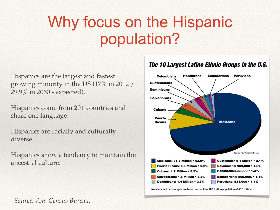#### Why focus on the Hispanic population?

Hispanics are the largest and fastest growing minority in the US (17% in 2012 / 29.9% in 2060 - expected).

Hispanics come from 20+ countries and share one language.

Hispanics are racially and culturally diverse.

Hispanics show a tendency to maintain the ancestral culture.

#### The 10 Largest Latino Ethnic Groups in the U.S.



Numbers and percentages are based on the total U.S. Latino population of 50.5 million

*Source: Am. Census Bureau.*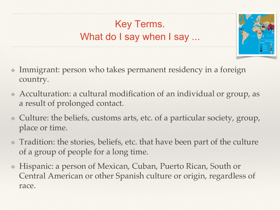#### Key Terms. What do I say when I say ...



- ❖ Immigrant: person who takes permanent residency in a foreign country.
- ❖ Acculturation: a cultural modification of an individual or group, as a result of prolonged contact.
- ❖ Culture: the beliefs, customs arts, etc. of a particular society, group, place or time.
- ❖ Tradition: the stories, beliefs, etc. that have been part of the culture of a group of people for a long time.
- ❖ Hispanic: a person of Mexican, Cuban, Puerto Rican, South or Central American or other Spanish culture or origin, regardless of race.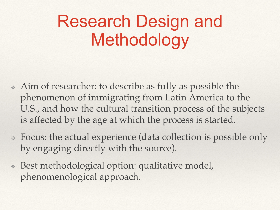#### Research Design and Methodology

- ❖ Aim of researcher: to describe as fully as possible the phenomenon of immigrating from Latin America to the U.S., and how the cultural transition process of the subjects is affected by the age at which the process is started.
- ❖ Focus: the actual experience (data collection is possible only by engaging directly with the source).
- ❖ Best methodological option: qualitative model, phenomenological approach.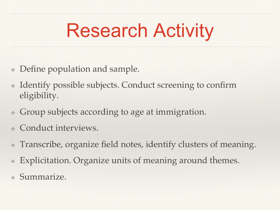# Research Activity

- ❖ Define population and sample.
- ❖ Identify possible subjects. Conduct screening to confirm eligibility.
- ❖ Group subjects according to age at immigration.
- Conduct interviews.
- ❖ Transcribe, organize field notes, identify clusters of meaning.
- Explicitation. Organize units of meaning around themes.
- ❖ Summarize.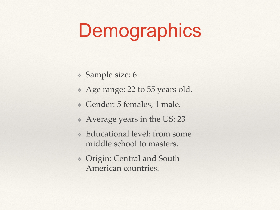## Demographics

- ❖ Sample size: 6
- ❖ Age range: 22 to 55 years old.
- ❖ Gender: 5 females, 1 male.
- ❖ Average years in the US: 23
- ❖ Educational level: from some middle school to masters.
- ❖ Origin: Central and South American countries.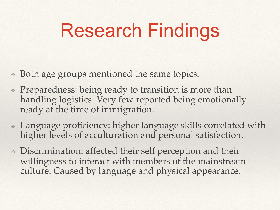# Research Findings

- ❖ Both age groups mentioned the same topics.
- ❖ Preparedness: being ready to transition is more than handling logistics. Very few reported being emotionally ready at the time of immigration.
- ❖ Language proficiency: higher language skills correlated with higher levels of acculturation and personal satisfaction.
- ❖ Discrimination: affected their self perception and their willingness to interact with members of the mainstream culture. Caused by language and physical appearance.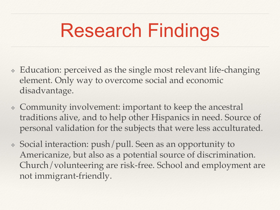# Research Findings

- ❖ Education: perceived as the single most relevant life-changing element. Only way to overcome social and economic disadvantage.
- ❖ Community involvement: important to keep the ancestral traditions alive, and to help other Hispanics in need. Source of personal validation for the subjects that were less acculturated.
- ❖ Social interaction: push/pull. Seen as an opportunity to Americanize, but also as a potential source of discrimination. Church/volunteering are risk-free. School and employment are not immigrant-friendly.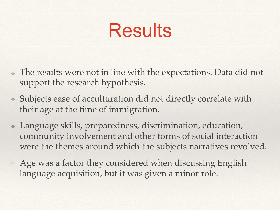### Results

- ❖ The results were not in line with the expectations. Data did not support the research hypothesis.
- ❖ Subjects ease of acculturation did not directly correlate with their age at the time of immigration.
- ❖ Language skills, preparedness, discrimination, education, community involvement and other forms of social interaction were the themes around which the subjects narratives revolved.
- ❖ Age was a factor they considered when discussing English language acquisition, but it was given a minor role.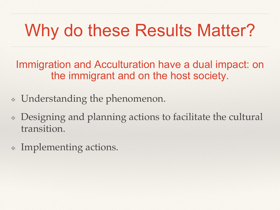### Why do these Results Matter?

Immigration and Acculturation have a dual impact: on the immigrant and on the host society.

- ❖ Understanding the phenomenon.
- ❖ Designing and planning actions to facilitate the cultural transition.
- Implementing actions.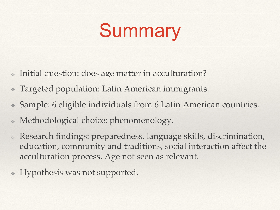# Summary

- Initial question: does age matter in acculturation?
- ❖ Targeted population: Latin American immigrants.
- ❖ Sample: 6 eligible individuals from 6 Latin American countries.
- Methodological choice: phenomenology.
- Research findings: preparedness, language skills, discrimination, education, community and traditions, social interaction affect the acculturation process. Age not seen as relevant.
- ❖ Hypothesis was not supported.